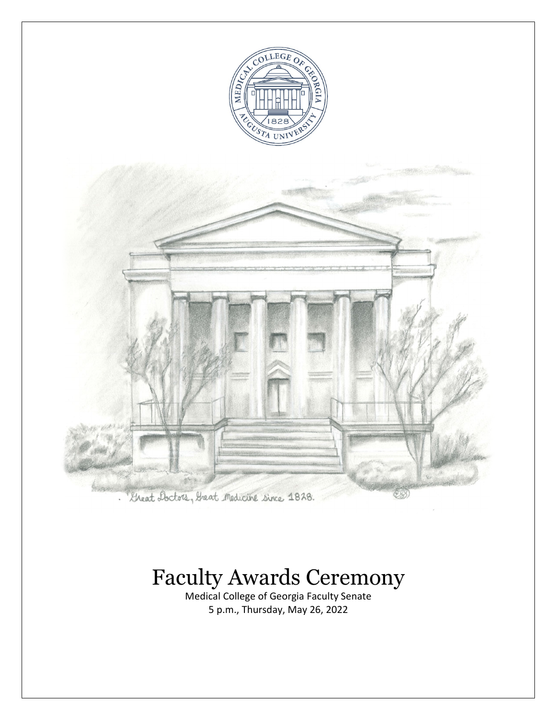



# Faculty Awards Ceremony

Medical College of Georgia Faculty Senate 5 p.m., Thursday, May 26, 2022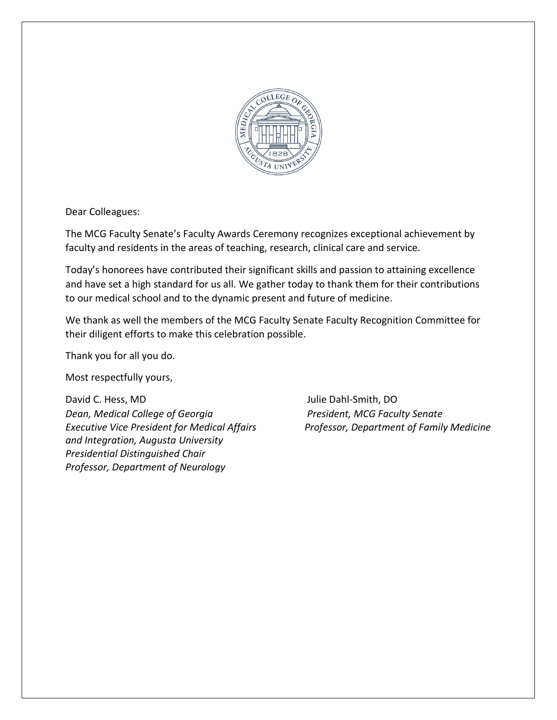

Dear Colleagues:

The MCG Faculty Senate's Faculty Awards Ceremony recognizes exceptional achievement by faculty and residents in the areas of teaching, research, clinical care and service.

Today's honorees have contributed their significant skills and passion to attaining excellence and have set a high standard for us all. We gather today to thank them for their contributions to our medical school and to the dynamic present and future of medicine.

We thank as well the members of the MCG Faculty Senate Faculty Recognition Committee for their diligent efforts to make this celebration possible.

Thank you for all you do.

Most respectfully yours,

David C. Hess, MD Julie Dahl-Smith, DO *Dean, Medical College of Georgia President, MCG Faculty Senate Executive Vice President for Medical Affairs Professor, Department of Family Medicine and Integration, Augusta University Presidential Distinguished Chair Professor, Department of Neurology*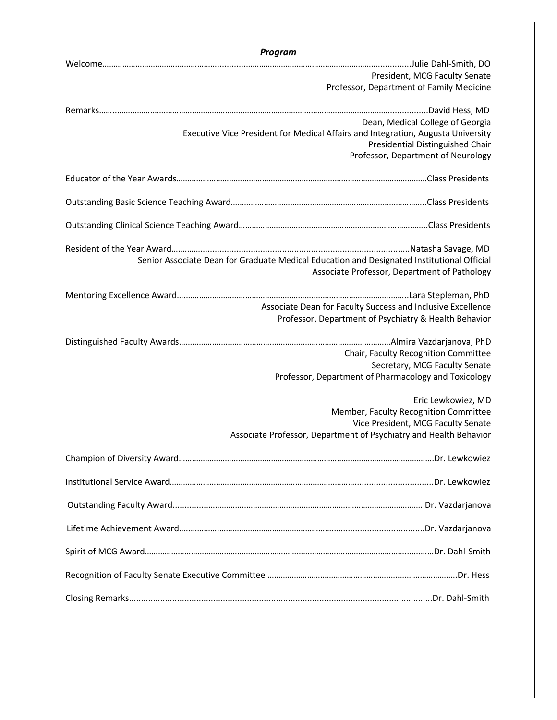| <b>Program</b>                                                                             |
|--------------------------------------------------------------------------------------------|
|                                                                                            |
| President, MCG Faculty Senate                                                              |
| Professor, Department of Family Medicine                                                   |
|                                                                                            |
| Dean, Medical College of Georgia                                                           |
| Executive Vice President for Medical Affairs and Integration, Augusta University           |
| Presidential Distinguished Chair                                                           |
| Professor, Department of Neurology                                                         |
|                                                                                            |
|                                                                                            |
|                                                                                            |
|                                                                                            |
|                                                                                            |
| Senior Associate Dean for Graduate Medical Education and Designated Institutional Official |
| Associate Professor, Department of Pathology                                               |
|                                                                                            |
| Associate Dean for Faculty Success and Inclusive Excellence                                |
| Professor, Department of Psychiatry & Health Behavior                                      |
|                                                                                            |
| Chair, Faculty Recognition Committee                                                       |
| Secretary, MCG Faculty Senate                                                              |
| Professor, Department of Pharmacology and Toxicology                                       |
| Eric Lewkowiez, MD                                                                         |
| Member, Faculty Recognition Committee                                                      |
| Vice President, MCG Faculty Senate                                                         |
| Associate Professor, Department of Psychiatry and Health Behavior                          |
|                                                                                            |
|                                                                                            |
|                                                                                            |
|                                                                                            |
|                                                                                            |
|                                                                                            |
|                                                                                            |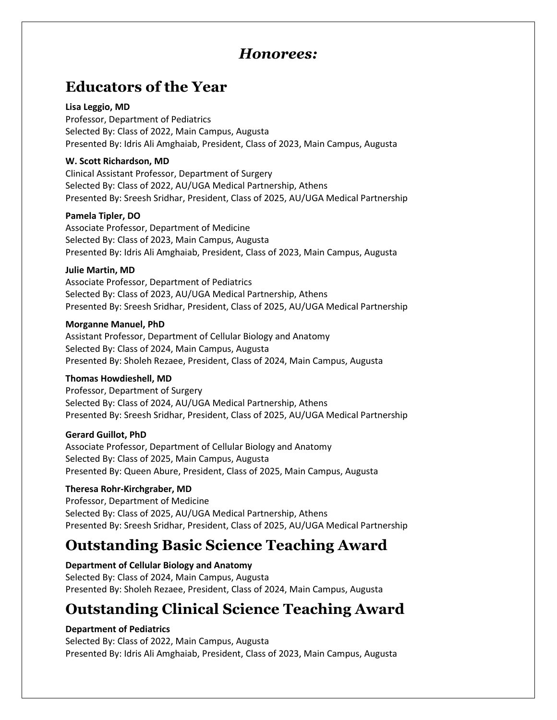## *Honorees:*

## **Educators of the Year**

#### **Lisa Leggio, MD**

Professor, Department of Pediatrics Selected By: Class of 2022, Main Campus, Augusta Presented By: Idris Ali Amghaiab, President, Class of 2023, Main Campus, Augusta

#### **W. Scott Richardson, MD**

Clinical Assistant Professor, Department of Surgery Selected By: Class of 2022, AU/UGA Medical Partnership, Athens Presented By: Sreesh Sridhar, President, Class of 2025, AU/UGA Medical Partnership

#### **Pamela Tipler, DO**

Associate Professor, Department of Medicine Selected By: Class of 2023, Main Campus, Augusta Presented By: Idris Ali Amghaiab, President, Class of 2023, Main Campus, Augusta

#### **Julie Martin, MD**

Associate Professor, Department of Pediatrics Selected By: Class of 2023, AU/UGA Medical Partnership, Athens Presented By: Sreesh Sridhar, President, Class of 2025, AU/UGA Medical Partnership

#### **Morganne Manuel, PhD**

Assistant Professor, Department of Cellular Biology and Anatomy Selected By: Class of 2024, Main Campus, Augusta Presented By: Sholeh Rezaee, President, Class of 2024, Main Campus, Augusta

### **Thomas Howdieshell, MD**

Professor, Department of Surgery Selected By: Class of 2024, AU/UGA Medical Partnership, Athens Presented By: Sreesh Sridhar, President, Class of 2025, AU/UGA Medical Partnership

#### **Gerard Guillot, PhD**

Associate Professor, Department of Cellular Biology and Anatomy Selected By: Class of 2025, Main Campus, Augusta Presented By: Queen Abure, President, Class of 2025, Main Campus, Augusta

### **Theresa Rohr-Kirchgraber, MD**

Professor, Department of Medicine Selected By: Class of 2025, AU/UGA Medical Partnership, Athens Presented By: Sreesh Sridhar, President, Class of 2025, AU/UGA Medical Partnership

## **Outstanding Basic Science Teaching Award**

**Department of Cellular Biology and Anatomy** Selected By: Class of 2024, Main Campus, Augusta Presented By: Sholeh Rezaee, President, Class of 2024, Main Campus, Augusta

## **Outstanding Clinical Science Teaching Award**

### **Department of Pediatrics**

Selected By: Class of 2022, Main Campus, Augusta Presented By: Idris Ali Amghaiab, President, Class of 2023, Main Campus, Augusta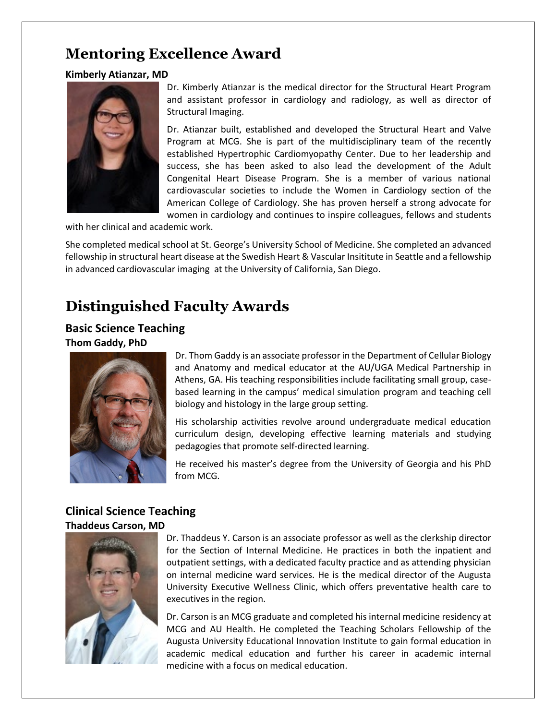## **Mentoring Excellence Award**

### **Kimberly Atianzar, MD**



Dr. Kimberly Atianzar is the medical director for the Structural Heart Program and assistant professor in cardiology and radiology, as well as director of Structural Imaging.

Dr. Atianzar built, established and developed the Structural Heart and Valve Program at MCG. She is part of the multidisciplinary team of the recently established Hypertrophic Cardiomyopathy Center. Due to her leadership and success, she has been asked to also lead the development of the Adult Congenital Heart Disease Program. She is a member of various national cardiovascular societies to include the Women in Cardiology section of the American College of Cardiology. She has proven herself a strong advocate for women in cardiology and continues to inspire colleagues, fellows and students

with her clinical and academic work.

She completed medical school at St. George's University School of Medicine. She completed an advanced fellowship in structural heart disease at the Swedish Heart & Vascular Insititute in Seattle and a fellowship in advanced cardiovascular imaging at the University of California, San Diego.

## **Distinguished Faculty Awards**

### **Basic Science Teaching Thom Gaddy, PhD**



Dr. Thom Gaddy is an associate professor in the Department of Cellular Biology and Anatomy and medical educator at the AU/UGA Medical Partnership in Athens, GA. His teaching responsibilities include facilitating small group, casebased learning in the campus' medical simulation program and teaching cell biology and histology in the large group setting.

His scholarship activities revolve around undergraduate medical education curriculum design, developing effective learning materials and studying pedagogies that promote self-directed learning.

He received his master's degree from the University of Georgia and his PhD from MCG.

### **Clinical Science Teaching Thaddeus Carson, MD**



Dr. Thaddeus Y. Carson is an associate professor as well as the clerkship director for the Section of Internal Medicine. He practices in both the inpatient and outpatient settings, with a dedicated faculty practice and as attending physician on internal medicine ward services. He is the medical director of the Augusta University Executive Wellness Clinic, which offers preventative health care to executives in the region.

Dr. Carson is an MCG graduate and completed his internal medicine residency at MCG and AU Health. He completed the Teaching Scholars Fellowship of the Augusta University Educational Innovation Institute to gain formal education in academic medical education and further his career in academic internal medicine with a focus on medical education.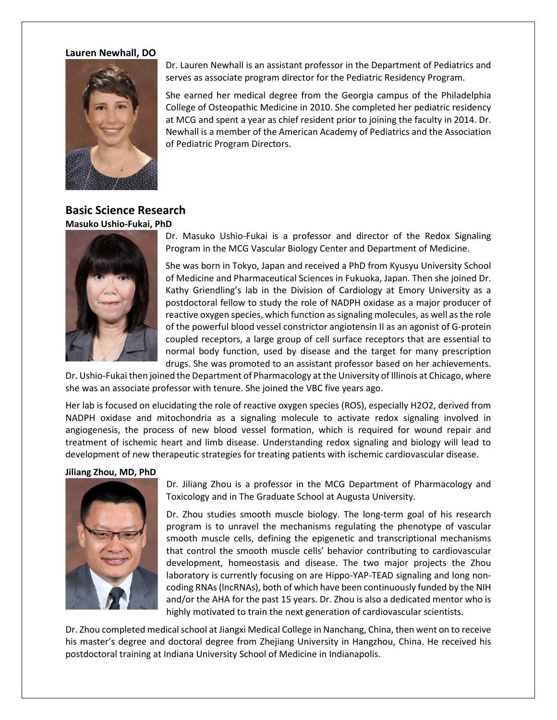#### **Lauren Newhall, DO**



Dr. Lauren Newhall is an assistant professor in the Department of Pediatrics and serves as associate program director for the Pediatric Residency Program.

She earned her medical degree from the Georgia campus of the Philadelphia College of Osteopathic Medicine in 2010. She completed her pediatric residency at MCG and spent a year as chief resident prior to joining the faculty in 2014. Dr. Newhall is a member of the American Academy of Pediatrics and the Association of Pediatric Program Directors.

### **Basic Science Research Masuko Ushio-Fukai, PhD**



Dr. Masuko Ushio-Fukai is a professor and director of the Redox Signaling Program in the MCG Vascular Biology Center and Department of Medicine.

She was born in Tokyo, Japan and received a PhD from Kyusyu University School of Medicine and Pharmaceutical Sciences in Fukuoka, Japan. Then she joined Dr. Kathy Griendling's lab in the Division of Cardiology at Emory University as a postdoctoral fellow to study the role of NADPH oxidase as a major producer of reactive oxygen species, which function as signaling molecules, as well as the role of the powerful blood vessel constrictor angiotensin II as an agonist of G-protein coupled receptors, a large group of cell surface receptors that are essential to normal body function, used by disease and the target for many prescription drugs. She was promoted to an assistant professor based on her achievements.

Dr. Ushio-Fukai then joined the Department of Pharmacology at the University of Illinois at Chicago, where she was an associate professor with tenure. She joined the VBC five years ago.

Her lab is focused on elucidating the role of reactive oxygen species (ROS), especially H2O2, derived from NADPH oxidase and mitochondria as a signaling molecule to activate redox signaling involved in angiogenesis, the process of new blood vessel formation, which is required for wound repair and treatment of ischemic heart and limb disease. Understanding redox signaling and biology will lead to development of new therapeutic strategies for treating patients with ischemic cardiovascular disease.

#### **Jiliang Zhou, MD, PhD**



Dr. Jiliang Zhou is a professor in the MCG Department of Pharmacology and Toxicology and in The Graduate School at Augusta University.

Dr. Zhou studies smooth muscle biology. The long-term goal of his research program is to unravel the mechanisms regulating the phenotype of vascular smooth muscle cells, defining the epigenetic and transcriptional mechanisms that control the smooth muscle cells' behavior contributing to cardiovascular development, homeostasis and disease. The two major projects the Zhou laboratory is currently focusing on are Hippo-YAP-TEAD signaling and long noncoding RNAs (lncRNAs), both of which have been continuously funded by the NIH and/or the AHA for the past 15 years. Dr. Zhou is also a dedicated mentor who is highly motivated to train the next generation of cardiovascular scientists.

Dr. Zhou completed medical school at Jiangxi Medical College in Nanchang, China, then went on to receive his master's degree and doctoral degree from Zhejiang University in Hangzhou, China. He received his postdoctoral training at Indiana University School of Medicine in Indianapolis.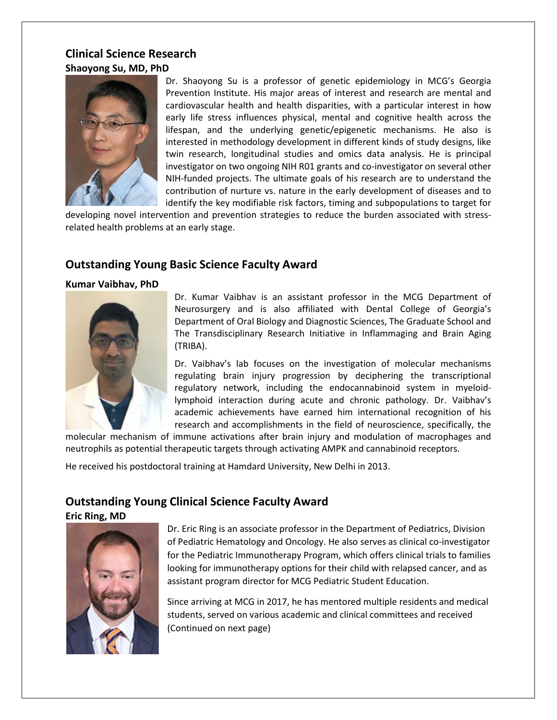### **Clinical Science Research Shaoyong Su, MD, PhD**



Dr. Shaoyong Su is a professor of genetic epidemiology in MCG's Georgia Prevention Institute. His major areas of interest and research are mental and cardiovascular health and health disparities, with a particular interest in how early life stress influences physical, mental and cognitive health across the lifespan, and the underlying genetic/epigenetic mechanisms. He also is interested in methodology development in different kinds of study designs, like twin research, longitudinal studies and omics data analysis. He is principal investigator on two ongoing NIH R01 grants and co-investigator on several other NIH-funded projects. The ultimate goals of his research are to understand the contribution of nurture vs. nature in the early development of diseases and to identify the key modifiable risk factors, timing and subpopulations to target for

developing novel intervention and prevention strategies to reduce the burden associated with stressrelated health problems at an early stage.

### **Outstanding Young Basic Science Faculty Award**

#### **Kumar Vaibhav, PhD**



Dr. Kumar Vaibhav is an assistant professor in the MCG Department of Neurosurgery and is also affiliated with Dental College of Georgia's Department of Oral Biology and Diagnostic Sciences, The Graduate School and The Transdisciplinary Research Initiative in Inflammaging and Brain Aging (TRIBA).

Dr. Vaibhav's lab focuses on the investigation of molecular mechanisms regulating brain injury progression by deciphering the transcriptional regulatory network, including the endocannabinoid system in myeloidlymphoid interaction during acute and chronic pathology. Dr. Vaibhav's academic achievements have earned him international recognition of his research and accomplishments in the field of neuroscience, specifically, the

molecular mechanism of immune activations after brain injury and modulation of macrophages and neutrophils as potential therapeutic targets through activating AMPK and cannabinoid receptors.

He received his postdoctoral training at Hamdard University, New Delhi in 2013.

### **Outstanding Young Clinical Science Faculty Award**

**Eric Ring, MD**



Dr. Eric Ring is an associate professor in the Department of Pediatrics, Division of Pediatric Hematology and Oncology. He also serves as clinical co-investigator for the Pediatric Immunotherapy Program, which offers clinical trials to families looking for immunotherapy options for their child with relapsed cancer, and as assistant program director for MCG Pediatric Student Education.

Since arriving at MCG in 2017, he has mentored multiple residents and medical students, served on various academic and clinical committees and received (Continued on next page)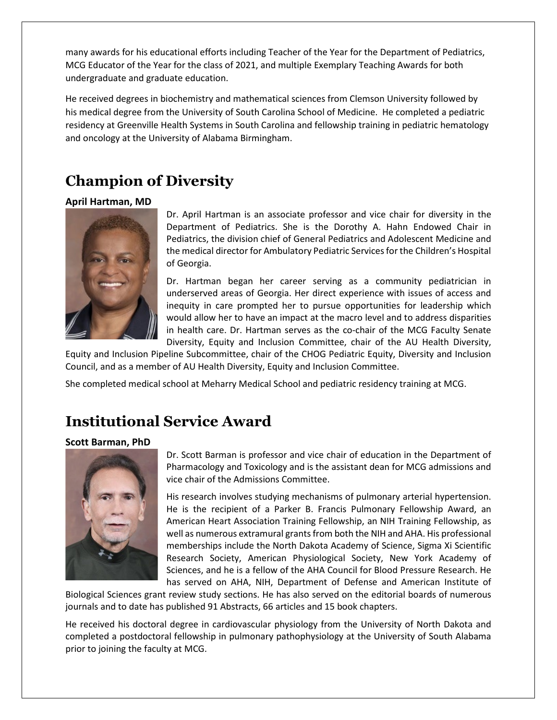many awards for his educational efforts including Teacher of the Year for the Department of Pediatrics, MCG Educator of the Year for the class of 2021, and multiple Exemplary Teaching Awards for both undergraduate and graduate education.

He received degrees in biochemistry and mathematical sciences from Clemson University followed by his medical degree from the University of South Carolina School of Medicine. He completed a pediatric residency at Greenville Health Systems in South Carolina and fellowship training in pediatric hematology and oncology at the University of Alabama Birmingham.

## **Champion of Diversity**

#### **April Hartman, MD**



Dr. April Hartman is an associate professor and vice chair for diversity in the Department of Pediatrics. She is the Dorothy A. Hahn Endowed Chair in Pediatrics, the division chief of General Pediatrics and Adolescent Medicine and the medical director for Ambulatory Pediatric Services for the Children's Hospital of Georgia.

Dr. Hartman began her career serving as a community pediatrician in underserved areas of Georgia. Her direct experience with issues of access and inequity in care prompted her to pursue opportunities for leadership which would allow her to have an impact at the macro level and to address disparities in health care. Dr. Hartman serves as the co-chair of the MCG Faculty Senate Diversity, Equity and Inclusion Committee, chair of the AU Health Diversity,

Equity and Inclusion Pipeline Subcommittee, chair of the CHOG Pediatric Equity, Diversity and Inclusion Council, and as a member of AU Health Diversity, Equity and Inclusion Committee.

She completed medical school at Meharry Medical School and pediatric residency training at MCG.

## **Institutional Service Award**

#### **Scott Barman, PhD**



Dr. Scott Barman is professor and vice chair of education in the Department of Pharmacology and Toxicology and is the assistant dean for MCG admissions and vice chair of the Admissions Committee.

His research involves studying mechanisms of pulmonary arterial hypertension. He is the recipient of a Parker B. Francis Pulmonary Fellowship Award, an American Heart Association Training Fellowship, an NIH Training Fellowship, as well as numerous extramural grants from both the NIH and AHA. His professional memberships include the North Dakota Academy of Science, Sigma Xi Scientific Research Society, American Physiological Society, New York Academy of Sciences, and he is a fellow of the AHA Council for Blood Pressure Research. He has served on AHA, NIH, Department of Defense and American Institute of

Biological Sciences grant review study sections. He has also served on the editorial boards of numerous journals and to date has published 91 Abstracts, 66 articles and 15 book chapters.

He received his doctoral degree in cardiovascular physiology from the University of North Dakota and completed a postdoctoral fellowship in pulmonary pathophysiology at the University of South Alabama prior to joining the faculty at MCG.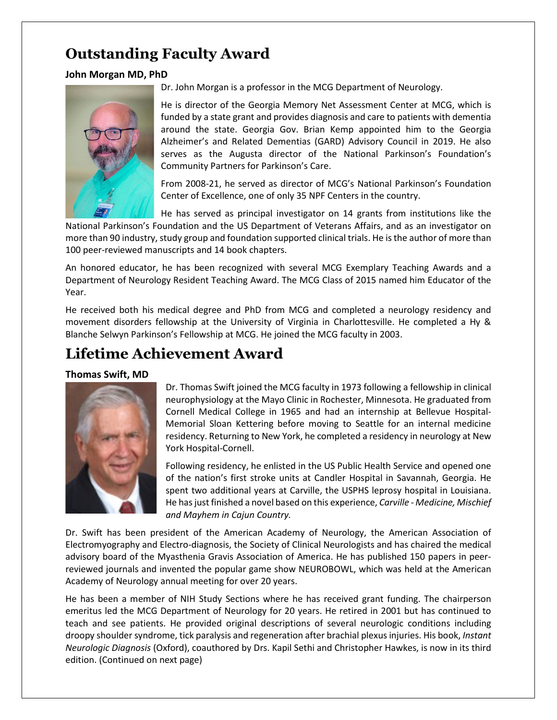## **Outstanding Faculty Award**

### **John Morgan MD, PhD**



Dr. John Morgan is a professor in the MCG Department of Neurology.

He is director of the Georgia Memory Net Assessment Center at MCG, which is funded by a state grant and provides diagnosis and care to patients with dementia around the state. Georgia Gov. Brian Kemp appointed him to the Georgia Alzheimer's and Related Dementias (GARD) Advisory Council in 2019. He also serves as the Augusta director of the National Parkinson's Foundation's Community Partners for Parkinson's Care.

From 2008-21, he served as director of MCG's National Parkinson's Foundation Center of Excellence, one of only 35 NPF Centers in the country.

He has served as principal investigator on 14 grants from institutions like the National Parkinson's Foundation and the US Department of Veterans Affairs, and as an investigator on more than 90 industry, study group and foundation supported clinical trials. He is the author of more than 100 peer-reviewed manuscripts and 14 book chapters.

An honored educator, he has been recognized with several MCG Exemplary Teaching Awards and a Department of Neurology Resident Teaching Award. The MCG Class of 2015 named him Educator of the Year.

He received both his medical degree and PhD from MCG and completed a neurology residency and movement disorders fellowship at the University of Virginia in Charlottesville. He completed a Hy & Blanche Selwyn Parkinson's Fellowship at MCG. He joined the MCG faculty in 2003.

## **Lifetime Achievement Award**

### **Thomas Swift, MD**



Dr. Thomas Swift joined the MCG faculty in 1973 following a fellowship in clinical neurophysiology at the Mayo Clinic in Rochester, Minnesota. He graduated from Cornell Medical College in 1965 and had an internship at Bellevue Hospital-Memorial Sloan Kettering before moving to Seattle for an internal medicine residency. Returning to New York, he completed a residency in neurology at New York Hospital-Cornell.

Following residency, he enlisted in the US Public Health Service and opened one of the nation's first stroke units at Candler Hospital in Savannah, Georgia. He spent two additional years at Carville, the USPHS leprosy hospital in Louisiana. He has just finished a novel based on this experience, *Carville - Medicine, Mischief and Mayhem in Cajun Country.* 

Dr. Swift has been president of the American Academy of Neurology, the American Association of Electromyography and Electro-diagnosis, the Society of Clinical Neurologists and has chaired the medical advisory board of the Myasthenia Gravis Association of America. He has published 150 papers in peerreviewed journals and invented the popular game show NEUROBOWL, which was held at the American Academy of Neurology annual meeting for over 20 years.

He has been a member of NIH Study Sections where he has received grant funding. The chairperson emeritus led the MCG Department of Neurology for 20 years. He retired in 2001 but has continued to teach and see patients. He provided original descriptions of several neurologic conditions including droopy shoulder syndrome, tick paralysis and regeneration after brachial plexus injuries. His book, *Instant Neurologic Diagnosis* (Oxford), coauthored by Drs. Kapil Sethi and Christopher Hawkes, is now in its third edition. (Continued on next page)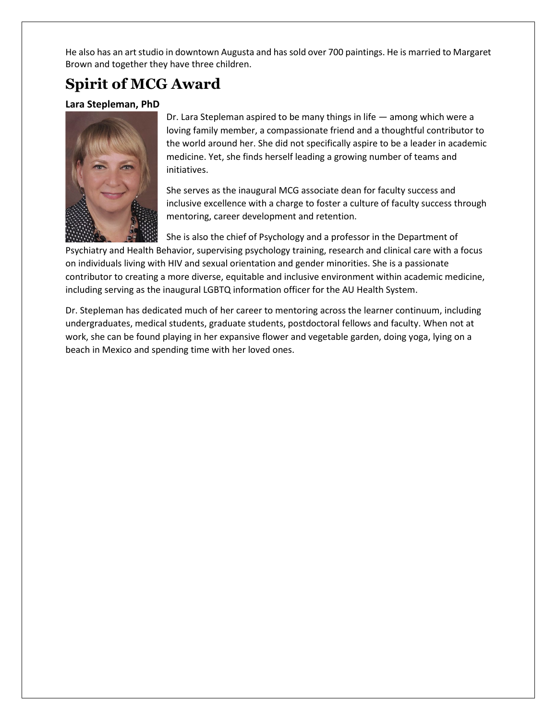He also has an art studio in downtown Augusta and has sold over 700 paintings. He is married to Margaret Brown and together they have three children.

## **Spirit of MCG Award**

### **Lara Stepleman, PhD**



Dr. Lara Stepleman aspired to be many things in life — among which were a loving family member, a compassionate friend and a thoughtful contributor to the world around her. She did not specifically aspire to be a leader in academic medicine. Yet, she finds herself leading a growing number of teams and initiatives.

She serves as the inaugural MCG associate dean for faculty success and inclusive excellence with a charge to foster a culture of faculty success through mentoring, career development and retention.

She is also the chief of Psychology and a professor in the Department of Psychiatry and Health Behavior, supervising psychology training, research and clinical care with a focus on individuals living with HIV and sexual orientation and gender minorities. She is a passionate contributor to creating a more diverse, equitable and inclusive environment within academic medicine, including serving as the inaugural LGBTQ information officer for the AU Health System.

Dr. Stepleman has dedicated much of her career to mentoring across the learner continuum, including undergraduates, medical students, graduate students, postdoctoral fellows and faculty. When not at work, she can be found playing in her expansive flower and vegetable garden, doing yoga, lying on a beach in Mexico and spending time with her loved ones.